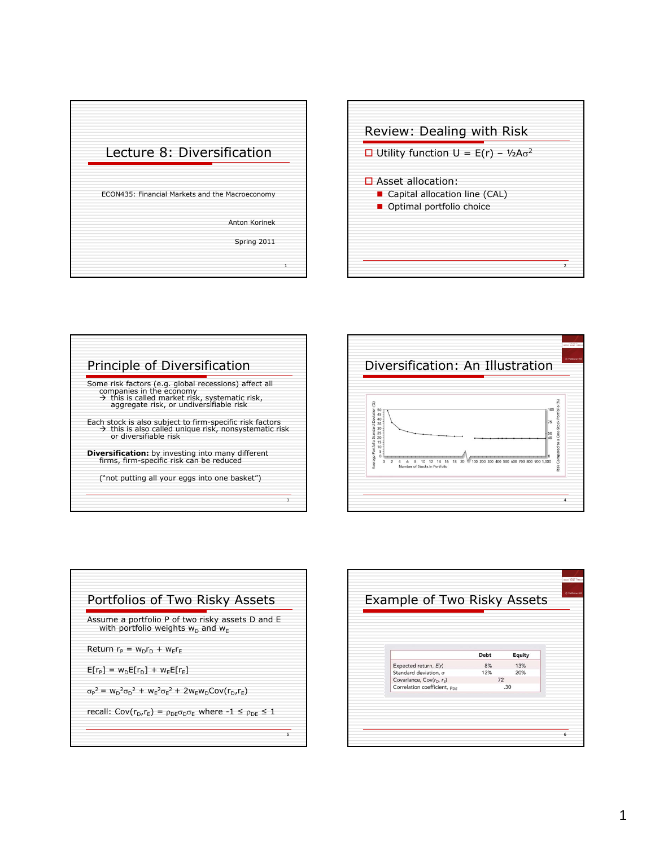









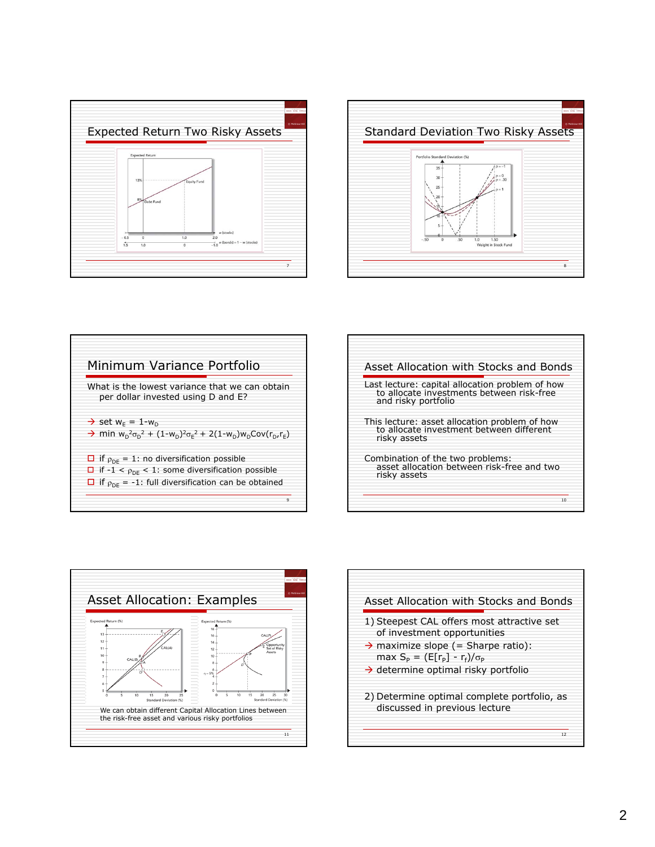